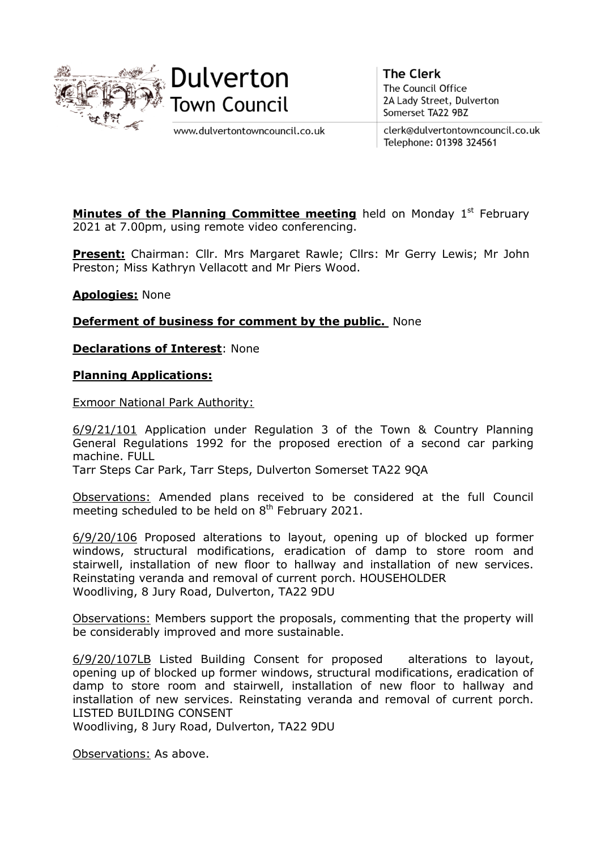



www.dulvertontowncouncil.co.uk

**The Clerk** The Council Office 2A Lady Street, Dulverton Somerset TA22 9BZ

clerk@dulvertontowncouncil.co.uk Telephone: 01398 324561

**Minutes of the Planning Committee meeting** held on Monday 1<sup>st</sup> February 2021 at 7.00pm, using remote video conferencing.

**Present:** Chairman: Cllr. Mrs Margaret Rawle; Cllrs: Mr Gerry Lewis; Mr John Preston; Miss Kathryn Vellacott and Mr Piers Wood.

**Apologies:** None

**Deferment of business for comment by the public.** None

**Declarations of Interest**: None

**Planning Applications:**

Exmoor National Park Authority:

6/9/21/101 Application under Regulation 3 of the Town & Country Planning General Regulations 1992 for the proposed erection of a second car parking machine. FULL

Tarr Steps Car Park, Tarr Steps, Dulverton Somerset TA22 9QA

Observations: Amended plans received to be considered at the full Council meeting scheduled to be held on 8<sup>th</sup> February 2021.

6/9/20/106 Proposed alterations to layout, opening up of blocked up former windows, structural modifications, eradication of damp to store room and stairwell, installation of new floor to hallway and installation of new services. Reinstating veranda and removal of current porch. HOUSEHOLDER Woodliving, 8 Jury Road, Dulverton, TA22 9DU

Observations: Members support the proposals, commenting that the property will be considerably improved and more sustainable.

6/9/20/107LB Listed Building Consent for proposed alterations to layout, opening up of blocked up former windows, structural modifications, eradication of damp to store room and stairwell, installation of new floor to hallway and installation of new services. Reinstating veranda and removal of current porch. LISTED BUILDING CONSENT

Woodliving, 8 Jury Road, Dulverton, TA22 9DU

Observations: As above.